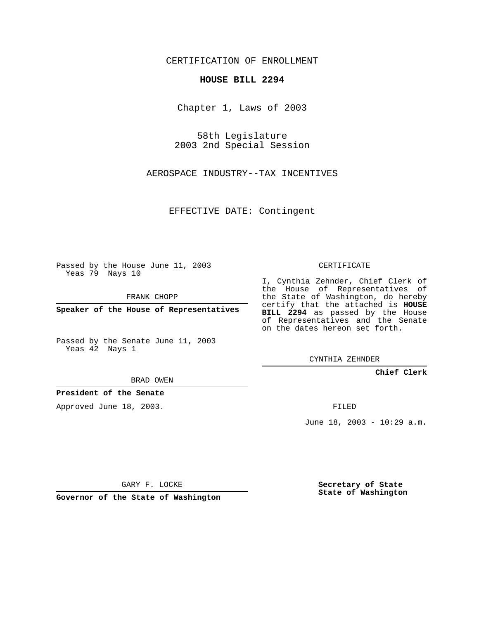CERTIFICATION OF ENROLLMENT

## **HOUSE BILL 2294**

Chapter 1, Laws of 2003

58th Legislature 2003 2nd Special Session

AEROSPACE INDUSTRY--TAX INCENTIVES

EFFECTIVE DATE: Contingent

Passed by the House June 11, 2003 Yeas 79 Nays 10

FRANK CHOPP

**Speaker of the House of Representatives**

Passed by the Senate June 11, 2003 Yeas 42 Nays 1

BRAD OWEN

**President of the Senate**

Approved June 18, 2003.

CERTIFICATE

I, Cynthia Zehnder, Chief Clerk of the House of Representatives of the State of Washington, do hereby certify that the attached is **HOUSE BILL 2294** as passed by the House of Representatives and the Senate on the dates hereon set forth.

CYNTHIA ZEHNDER

**Chief Clerk**

FILED

June 18, 2003 - 10:29 a.m.

GARY F. LOCKE

**Governor of the State of Washington**

**Secretary of State State of Washington**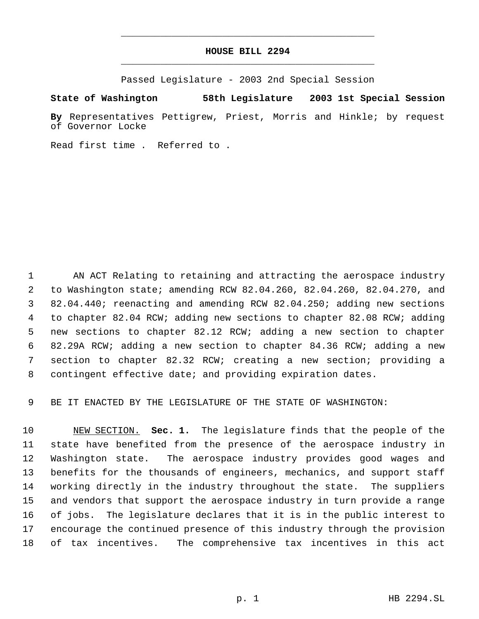## **HOUSE BILL 2294** \_\_\_\_\_\_\_\_\_\_\_\_\_\_\_\_\_\_\_\_\_\_\_\_\_\_\_\_\_\_\_\_\_\_\_\_\_\_\_\_\_\_\_\_\_

\_\_\_\_\_\_\_\_\_\_\_\_\_\_\_\_\_\_\_\_\_\_\_\_\_\_\_\_\_\_\_\_\_\_\_\_\_\_\_\_\_\_\_\_\_

Passed Legislature - 2003 2nd Special Session

**State of Washington 58th Legislature 2003 1st Special Session**

**By** Representatives Pettigrew, Priest, Morris and Hinkle; by request of Governor Locke

Read first time . Referred to .

 AN ACT Relating to retaining and attracting the aerospace industry to Washington state; amending RCW 82.04.260, 82.04.260, 82.04.270, and 82.04.440; reenacting and amending RCW 82.04.250; adding new sections to chapter 82.04 RCW; adding new sections to chapter 82.08 RCW; adding new sections to chapter 82.12 RCW; adding a new section to chapter 82.29A RCW; adding a new section to chapter 84.36 RCW; adding a new section to chapter 82.32 RCW; creating a new section; providing a contingent effective date; and providing expiration dates.

BE IT ENACTED BY THE LEGISLATURE OF THE STATE OF WASHINGTON:

 NEW SECTION. **Sec. 1.** The legislature finds that the people of the state have benefited from the presence of the aerospace industry in Washington state. The aerospace industry provides good wages and benefits for the thousands of engineers, mechanics, and support staff working directly in the industry throughout the state. The suppliers and vendors that support the aerospace industry in turn provide a range of jobs. The legislature declares that it is in the public interest to encourage the continued presence of this industry through the provision of tax incentives. The comprehensive tax incentives in this act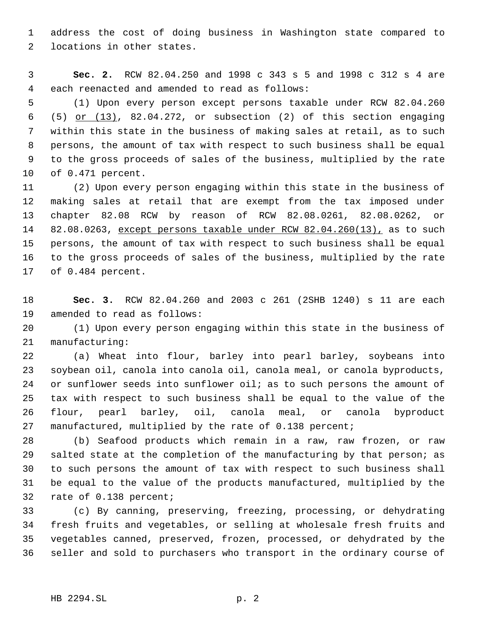address the cost of doing business in Washington state compared to locations in other states.

 **Sec. 2.** RCW 82.04.250 and 1998 c 343 s 5 and 1998 c 312 s 4 are each reenacted and amended to read as follows:

 (1) Upon every person except persons taxable under RCW 82.04.260 6 (5) or  $(13)$ , 82.04.272, or subsection (2) of this section engaging within this state in the business of making sales at retail, as to such persons, the amount of tax with respect to such business shall be equal to the gross proceeds of sales of the business, multiplied by the rate of 0.471 percent.

 (2) Upon every person engaging within this state in the business of making sales at retail that are exempt from the tax imposed under chapter 82.08 RCW by reason of RCW 82.08.0261, 82.08.0262, or 82.08.0263, except persons taxable under RCW 82.04.260(13), as to such persons, the amount of tax with respect to such business shall be equal to the gross proceeds of sales of the business, multiplied by the rate of 0.484 percent.

 **Sec. 3.** RCW 82.04.260 and 2003 c 261 (2SHB 1240) s 11 are each amended to read as follows:

 (1) Upon every person engaging within this state in the business of manufacturing:

 (a) Wheat into flour, barley into pearl barley, soybeans into soybean oil, canola into canola oil, canola meal, or canola byproducts, 24 or sunflower seeds into sunflower oil; as to such persons the amount of tax with respect to such business shall be equal to the value of the flour, pearl barley, oil, canola meal, or canola byproduct manufactured, multiplied by the rate of 0.138 percent;

 (b) Seafood products which remain in a raw, raw frozen, or raw salted state at the completion of the manufacturing by that person; as to such persons the amount of tax with respect to such business shall be equal to the value of the products manufactured, multiplied by the rate of 0.138 percent;

 (c) By canning, preserving, freezing, processing, or dehydrating fresh fruits and vegetables, or selling at wholesale fresh fruits and vegetables canned, preserved, frozen, processed, or dehydrated by the seller and sold to purchasers who transport in the ordinary course of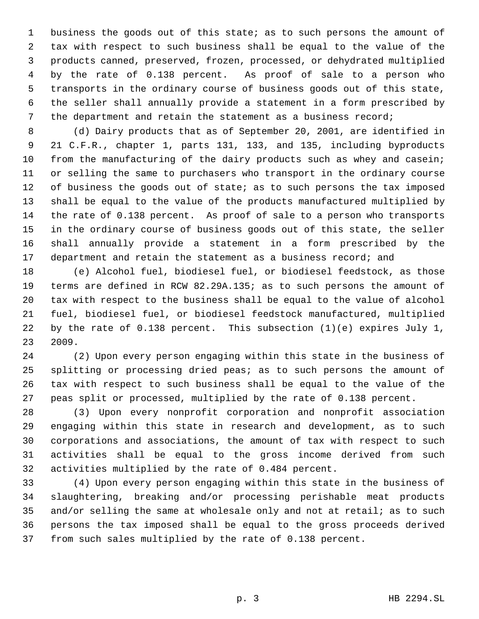business the goods out of this state; as to such persons the amount of tax with respect to such business shall be equal to the value of the products canned, preserved, frozen, processed, or dehydrated multiplied by the rate of 0.138 percent. As proof of sale to a person who transports in the ordinary course of business goods out of this state, the seller shall annually provide a statement in a form prescribed by the department and retain the statement as a business record;

 (d) Dairy products that as of September 20, 2001, are identified in 21 C.F.R., chapter 1, parts 131, 133, and 135, including byproducts from the manufacturing of the dairy products such as whey and casein; or selling the same to purchasers who transport in the ordinary course 12 of business the goods out of state; as to such persons the tax imposed shall be equal to the value of the products manufactured multiplied by the rate of 0.138 percent. As proof of sale to a person who transports in the ordinary course of business goods out of this state, the seller shall annually provide a statement in a form prescribed by the 17 department and retain the statement as a business record; and

 (e) Alcohol fuel, biodiesel fuel, or biodiesel feedstock, as those terms are defined in RCW 82.29A.135; as to such persons the amount of tax with respect to the business shall be equal to the value of alcohol fuel, biodiesel fuel, or biodiesel feedstock manufactured, multiplied by the rate of 0.138 percent. This subsection (1)(e) expires July 1, 2009.

 (2) Upon every person engaging within this state in the business of splitting or processing dried peas; as to such persons the amount of tax with respect to such business shall be equal to the value of the peas split or processed, multiplied by the rate of 0.138 percent.

 (3) Upon every nonprofit corporation and nonprofit association engaging within this state in research and development, as to such corporations and associations, the amount of tax with respect to such activities shall be equal to the gross income derived from such activities multiplied by the rate of 0.484 percent.

 (4) Upon every person engaging within this state in the business of slaughtering, breaking and/or processing perishable meat products 35 and/or selling the same at wholesale only and not at retail; as to such persons the tax imposed shall be equal to the gross proceeds derived from such sales multiplied by the rate of 0.138 percent.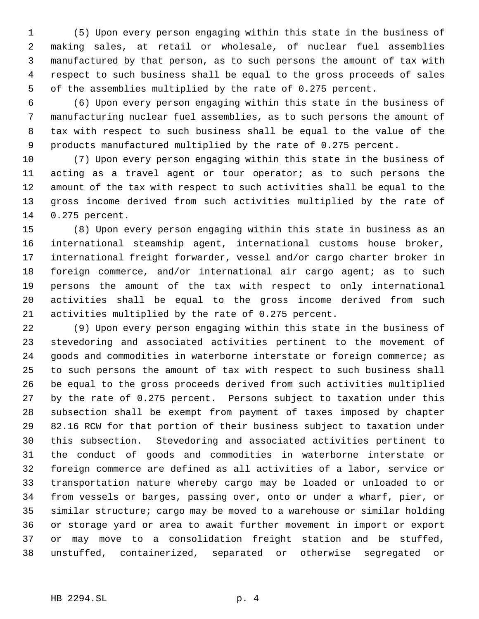(5) Upon every person engaging within this state in the business of making sales, at retail or wholesale, of nuclear fuel assemblies manufactured by that person, as to such persons the amount of tax with respect to such business shall be equal to the gross proceeds of sales of the assemblies multiplied by the rate of 0.275 percent.

 (6) Upon every person engaging within this state in the business of manufacturing nuclear fuel assemblies, as to such persons the amount of tax with respect to such business shall be equal to the value of the products manufactured multiplied by the rate of 0.275 percent.

 (7) Upon every person engaging within this state in the business of acting as a travel agent or tour operator; as to such persons the amount of the tax with respect to such activities shall be equal to the gross income derived from such activities multiplied by the rate of 0.275 percent.

 (8) Upon every person engaging within this state in business as an international steamship agent, international customs house broker, international freight forwarder, vessel and/or cargo charter broker in foreign commerce, and/or international air cargo agent; as to such persons the amount of the tax with respect to only international activities shall be equal to the gross income derived from such activities multiplied by the rate of 0.275 percent.

 (9) Upon every person engaging within this state in the business of stevedoring and associated activities pertinent to the movement of goods and commodities in waterborne interstate or foreign commerce; as to such persons the amount of tax with respect to such business shall be equal to the gross proceeds derived from such activities multiplied by the rate of 0.275 percent. Persons subject to taxation under this subsection shall be exempt from payment of taxes imposed by chapter 82.16 RCW for that portion of their business subject to taxation under this subsection. Stevedoring and associated activities pertinent to the conduct of goods and commodities in waterborne interstate or foreign commerce are defined as all activities of a labor, service or transportation nature whereby cargo may be loaded or unloaded to or from vessels or barges, passing over, onto or under a wharf, pier, or similar structure; cargo may be moved to a warehouse or similar holding or storage yard or area to await further movement in import or export or may move to a consolidation freight station and be stuffed, unstuffed, containerized, separated or otherwise segregated or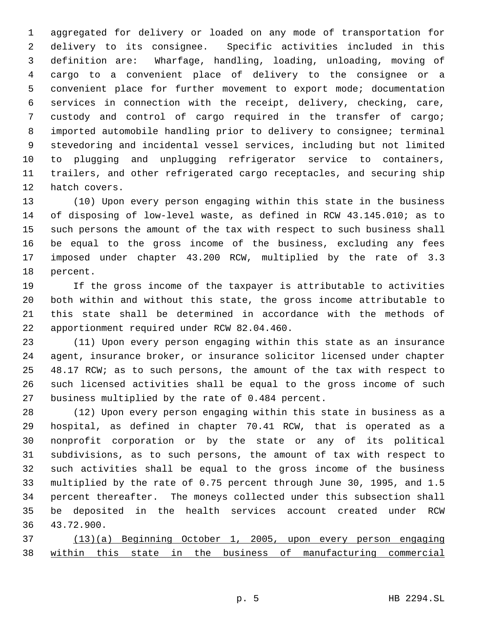aggregated for delivery or loaded on any mode of transportation for delivery to its consignee. Specific activities included in this definition are: Wharfage, handling, loading, unloading, moving of cargo to a convenient place of delivery to the consignee or a convenient place for further movement to export mode; documentation services in connection with the receipt, delivery, checking, care, custody and control of cargo required in the transfer of cargo; imported automobile handling prior to delivery to consignee; terminal stevedoring and incidental vessel services, including but not limited to plugging and unplugging refrigerator service to containers, trailers, and other refrigerated cargo receptacles, and securing ship hatch covers.

 (10) Upon every person engaging within this state in the business of disposing of low-level waste, as defined in RCW 43.145.010; as to such persons the amount of the tax with respect to such business shall be equal to the gross income of the business, excluding any fees imposed under chapter 43.200 RCW, multiplied by the rate of 3.3 percent.

 If the gross income of the taxpayer is attributable to activities both within and without this state, the gross income attributable to this state shall be determined in accordance with the methods of apportionment required under RCW 82.04.460.

 (11) Upon every person engaging within this state as an insurance agent, insurance broker, or insurance solicitor licensed under chapter 48.17 RCW; as to such persons, the amount of the tax with respect to such licensed activities shall be equal to the gross income of such business multiplied by the rate of 0.484 percent.

 (12) Upon every person engaging within this state in business as a hospital, as defined in chapter 70.41 RCW, that is operated as a nonprofit corporation or by the state or any of its political subdivisions, as to such persons, the amount of tax with respect to such activities shall be equal to the gross income of the business multiplied by the rate of 0.75 percent through June 30, 1995, and 1.5 percent thereafter. The moneys collected under this subsection shall be deposited in the health services account created under RCW 43.72.900.

 (13)(a) Beginning October 1, 2005, upon every person engaging within this state in the business of manufacturing commercial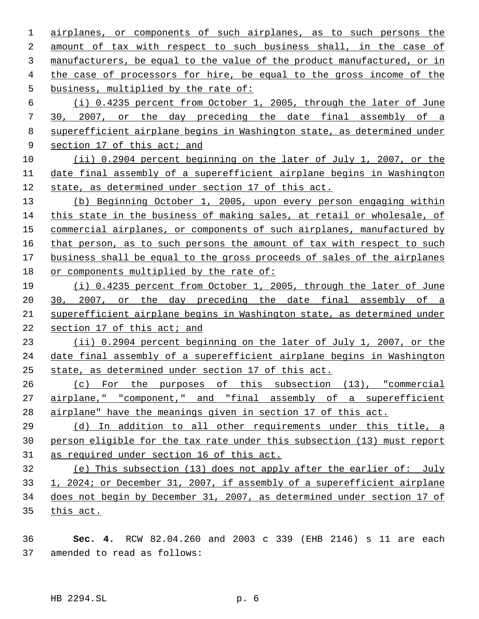airplanes, or components of such airplanes, as to such persons the amount of tax with respect to such business shall, in the case of manufacturers, be equal to the value of the product manufactured, or in the case of processors for hire, be equal to the gross income of the business, multiplied by the rate of:

 (i) 0.4235 percent from October 1, 2005, through the later of June 30, 2007, or the day preceding the date final assembly of a superefficient airplane begins in Washington state, as determined under 9 section 17 of this act; and

 (ii) 0.2904 percent beginning on the later of July 1, 2007, or the date final assembly of a superefficient airplane begins in Washington state, as determined under section 17 of this act.

 (b) Beginning October 1, 2005, upon every person engaging within this state in the business of making sales, at retail or wholesale, of 15 commercial airplanes, or components of such airplanes, manufactured by that person, as to such persons the amount of tax with respect to such business shall be equal to the gross proceeds of sales of the airplanes 18 or components multiplied by the rate of:

 (i) 0.4235 percent from October 1, 2005, through the later of June 20 30, 2007, or the day preceding the date final assembly of a superefficient airplane begins in Washington state, as determined under section 17 of this act; and

 (ii) 0.2904 percent beginning on the later of July 1, 2007, or the date final assembly of a superefficient airplane begins in Washington state, as determined under section 17 of this act.

 (c) For the purposes of this subsection (13), "commercial 27 airplane," "component," and "final assembly of a superefficient airplane" have the meanings given in section 17 of this act.

29 (d) In addition to all other requirements under this title, a person eligible for the tax rate under this subsection (13) must report as required under section 16 of this act.

 (e) This subsection (13) does not apply after the earlier of: July 33 1, 2024; or December 31, 2007, if assembly of a superefficient airplane does not begin by December 31, 2007, as determined under section 17 of this act.

 **Sec. 4.** RCW 82.04.260 and 2003 c 339 (EHB 2146) s 11 are each amended to read as follows: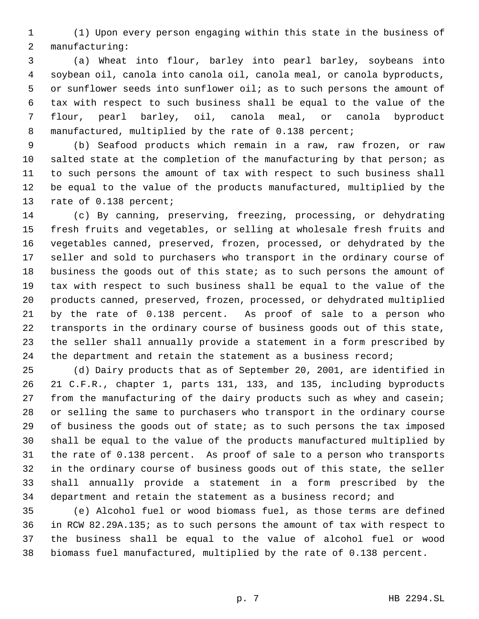(1) Upon every person engaging within this state in the business of manufacturing:

 (a) Wheat into flour, barley into pearl barley, soybeans into soybean oil, canola into canola oil, canola meal, or canola byproducts, or sunflower seeds into sunflower oil; as to such persons the amount of tax with respect to such business shall be equal to the value of the flour, pearl barley, oil, canola meal, or canola byproduct 8 manufactured, multiplied by the rate of 0.138 percent;

 (b) Seafood products which remain in a raw, raw frozen, or raw salted state at the completion of the manufacturing by that person; as to such persons the amount of tax with respect to such business shall be equal to the value of the products manufactured, multiplied by the rate of 0.138 percent;

 (c) By canning, preserving, freezing, processing, or dehydrating fresh fruits and vegetables, or selling at wholesale fresh fruits and vegetables canned, preserved, frozen, processed, or dehydrated by the seller and sold to purchasers who transport in the ordinary course of 18 business the goods out of this state; as to such persons the amount of tax with respect to such business shall be equal to the value of the products canned, preserved, frozen, processed, or dehydrated multiplied by the rate of 0.138 percent. As proof of sale to a person who transports in the ordinary course of business goods out of this state, the seller shall annually provide a statement in a form prescribed by 24 the department and retain the statement as a business record;

 (d) Dairy products that as of September 20, 2001, are identified in 21 C.F.R., chapter 1, parts 131, 133, and 135, including byproducts from the manufacturing of the dairy products such as whey and casein; or selling the same to purchasers who transport in the ordinary course of business the goods out of state; as to such persons the tax imposed shall be equal to the value of the products manufactured multiplied by the rate of 0.138 percent. As proof of sale to a person who transports in the ordinary course of business goods out of this state, the seller shall annually provide a statement in a form prescribed by the department and retain the statement as a business record; and

 (e) Alcohol fuel or wood biomass fuel, as those terms are defined in RCW 82.29A.135; as to such persons the amount of tax with respect to the business shall be equal to the value of alcohol fuel or wood biomass fuel manufactured, multiplied by the rate of 0.138 percent.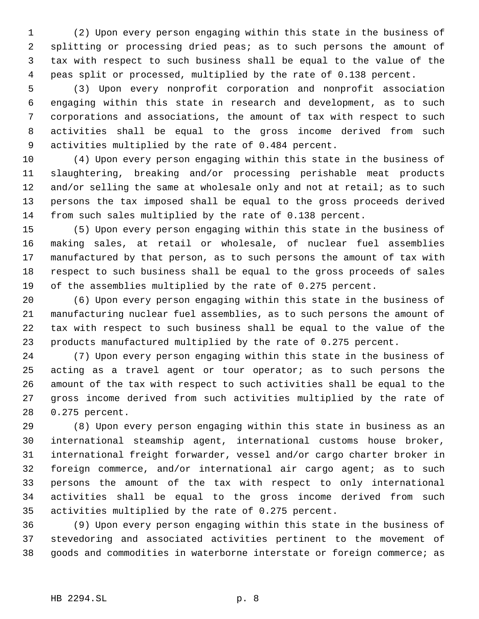(2) Upon every person engaging within this state in the business of splitting or processing dried peas; as to such persons the amount of tax with respect to such business shall be equal to the value of the peas split or processed, multiplied by the rate of 0.138 percent.

 (3) Upon every nonprofit corporation and nonprofit association engaging within this state in research and development, as to such corporations and associations, the amount of tax with respect to such activities shall be equal to the gross income derived from such activities multiplied by the rate of 0.484 percent.

 (4) Upon every person engaging within this state in the business of slaughtering, breaking and/or processing perishable meat products 12 and/or selling the same at wholesale only and not at retail; as to such persons the tax imposed shall be equal to the gross proceeds derived from such sales multiplied by the rate of 0.138 percent.

 (5) Upon every person engaging within this state in the business of making sales, at retail or wholesale, of nuclear fuel assemblies manufactured by that person, as to such persons the amount of tax with respect to such business shall be equal to the gross proceeds of sales of the assemblies multiplied by the rate of 0.275 percent.

 (6) Upon every person engaging within this state in the business of manufacturing nuclear fuel assemblies, as to such persons the amount of tax with respect to such business shall be equal to the value of the products manufactured multiplied by the rate of 0.275 percent.

 (7) Upon every person engaging within this state in the business of acting as a travel agent or tour operator; as to such persons the amount of the tax with respect to such activities shall be equal to the gross income derived from such activities multiplied by the rate of 0.275 percent.

 (8) Upon every person engaging within this state in business as an international steamship agent, international customs house broker, international freight forwarder, vessel and/or cargo charter broker in foreign commerce, and/or international air cargo agent; as to such persons the amount of the tax with respect to only international activities shall be equal to the gross income derived from such activities multiplied by the rate of 0.275 percent.

 (9) Upon every person engaging within this state in the business of stevedoring and associated activities pertinent to the movement of goods and commodities in waterborne interstate or foreign commerce; as

## HB 2294.SL p. 8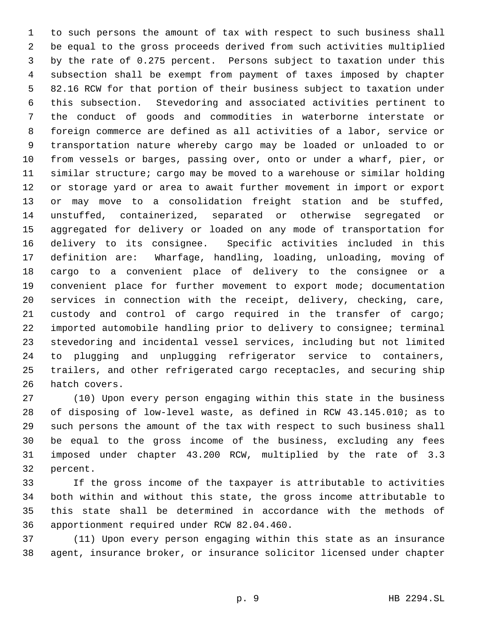to such persons the amount of tax with respect to such business shall be equal to the gross proceeds derived from such activities multiplied by the rate of 0.275 percent. Persons subject to taxation under this subsection shall be exempt from payment of taxes imposed by chapter 82.16 RCW for that portion of their business subject to taxation under this subsection. Stevedoring and associated activities pertinent to the conduct of goods and commodities in waterborne interstate or foreign commerce are defined as all activities of a labor, service or transportation nature whereby cargo may be loaded or unloaded to or from vessels or barges, passing over, onto or under a wharf, pier, or similar structure; cargo may be moved to a warehouse or similar holding or storage yard or area to await further movement in import or export or may move to a consolidation freight station and be stuffed, unstuffed, containerized, separated or otherwise segregated or aggregated for delivery or loaded on any mode of transportation for delivery to its consignee. Specific activities included in this definition are: Wharfage, handling, loading, unloading, moving of cargo to a convenient place of delivery to the consignee or a convenient place for further movement to export mode; documentation services in connection with the receipt, delivery, checking, care, custody and control of cargo required in the transfer of cargo; imported automobile handling prior to delivery to consignee; terminal stevedoring and incidental vessel services, including but not limited to plugging and unplugging refrigerator service to containers, trailers, and other refrigerated cargo receptacles, and securing ship hatch covers.

 (10) Upon every person engaging within this state in the business of disposing of low-level waste, as defined in RCW 43.145.010; as to such persons the amount of the tax with respect to such business shall be equal to the gross income of the business, excluding any fees imposed under chapter 43.200 RCW, multiplied by the rate of 3.3 percent.

 If the gross income of the taxpayer is attributable to activities both within and without this state, the gross income attributable to this state shall be determined in accordance with the methods of apportionment required under RCW 82.04.460.

 (11) Upon every person engaging within this state as an insurance agent, insurance broker, or insurance solicitor licensed under chapter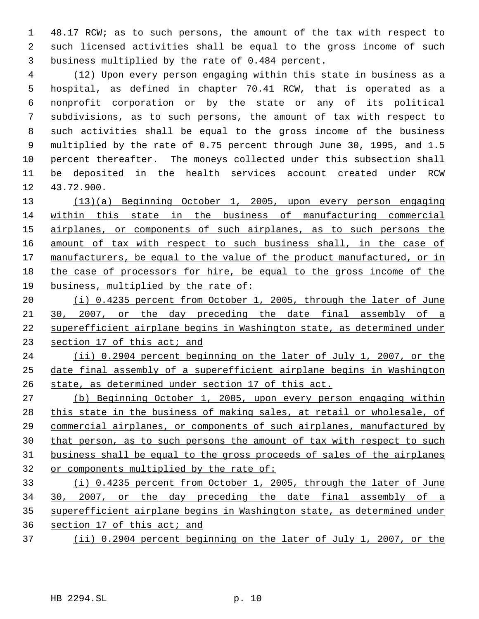48.17 RCW; as to such persons, the amount of the tax with respect to such licensed activities shall be equal to the gross income of such business multiplied by the rate of 0.484 percent.

 (12) Upon every person engaging within this state in business as a hospital, as defined in chapter 70.41 RCW, that is operated as a nonprofit corporation or by the state or any of its political subdivisions, as to such persons, the amount of tax with respect to such activities shall be equal to the gross income of the business multiplied by the rate of 0.75 percent through June 30, 1995, and 1.5 percent thereafter. The moneys collected under this subsection shall be deposited in the health services account created under RCW 43.72.900.

 (13)(a) Beginning October 1, 2005, upon every person engaging within this state in the business of manufacturing commercial 15 airplanes, or components of such airplanes, as to such persons the 16 amount of tax with respect to such business shall, in the case of 17 manufacturers, be equal to the value of the product manufactured, or in the case of processors for hire, be equal to the gross income of the business, multiplied by the rate of:

 (i) 0.4235 percent from October 1, 2005, through the later of June 30, 2007, or the day preceding the date final assembly of a superefficient airplane begins in Washington state, as determined under section 17 of this act; and

 (ii) 0.2904 percent beginning on the later of July 1, 2007, or the date final assembly of a superefficient airplane begins in Washington state, as determined under section 17 of this act.

 (b) Beginning October 1, 2005, upon every person engaging within 28 this state in the business of making sales, at retail or wholesale, of commercial airplanes, or components of such airplanes, manufactured by 30 that person, as to such persons the amount of tax with respect to such business shall be equal to the gross proceeds of sales of the airplanes or components multiplied by the rate of:

 (i) 0.4235 percent from October 1, 2005, through the later of June 30, 2007, or the day preceding the date final assembly of a superefficient airplane begins in Washington state, as determined under section 17 of this act; and

(ii) 0.2904 percent beginning on the later of July 1, 2007, or the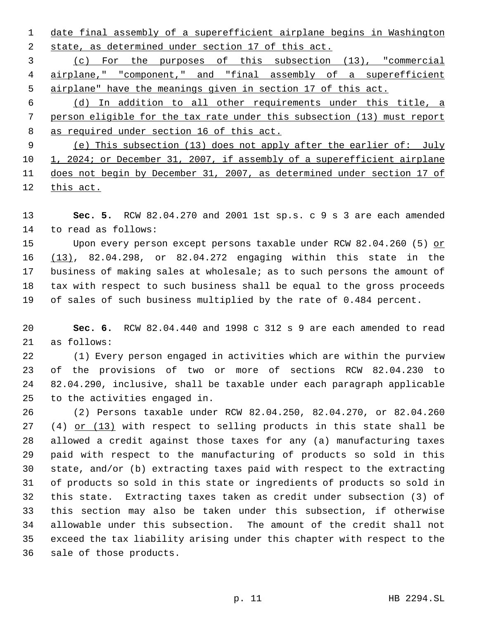date final assembly of a superefficient airplane begins in Washington state, as determined under section 17 of this act.

 (c) For the purposes of this subsection (13), "commercial airplane," "component," and "final assembly of a superefficient airplane" have the meanings given in section 17 of this act.

 (d) In addition to all other requirements under this title, a person eligible for the tax rate under this subsection (13) must report as required under section 16 of this act.

 (e) This subsection (13) does not apply after the earlier of: July 10 1, 2024; or December 31, 2007, if assembly of a superefficient airplane does not begin by December 31, 2007, as determined under section 17 of this act.

 **Sec. 5.** RCW 82.04.270 and 2001 1st sp.s. c 9 s 3 are each amended to read as follows:

 Upon every person except persons taxable under RCW 82.04.260 (5) or (13), 82.04.298, or 82.04.272 engaging within this state in the business of making sales at wholesale; as to such persons the amount of tax with respect to such business shall be equal to the gross proceeds of sales of such business multiplied by the rate of 0.484 percent.

 **Sec. 6.** RCW 82.04.440 and 1998 c 312 s 9 are each amended to read as follows:

 (1) Every person engaged in activities which are within the purview of the provisions of two or more of sections RCW 82.04.230 to 82.04.290, inclusive, shall be taxable under each paragraph applicable to the activities engaged in.

 (2) Persons taxable under RCW 82.04.250, 82.04.270, or 82.04.260 (4) or (13) with respect to selling products in this state shall be allowed a credit against those taxes for any (a) manufacturing taxes paid with respect to the manufacturing of products so sold in this state, and/or (b) extracting taxes paid with respect to the extracting of products so sold in this state or ingredients of products so sold in this state. Extracting taxes taken as credit under subsection (3) of this section may also be taken under this subsection, if otherwise allowable under this subsection. The amount of the credit shall not exceed the tax liability arising under this chapter with respect to the sale of those products.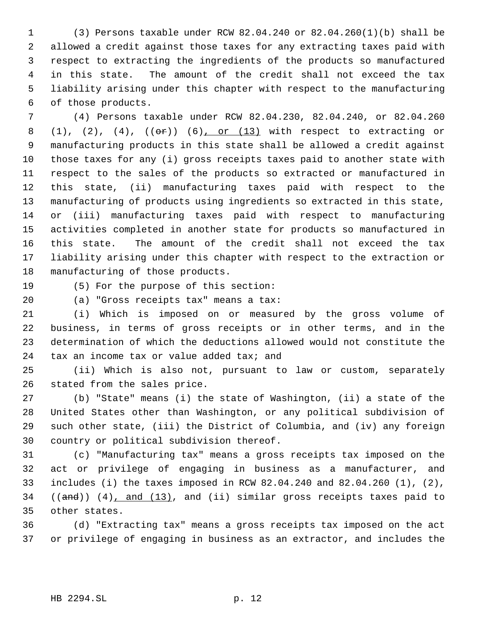(3) Persons taxable under RCW 82.04.240 or 82.04.260(1)(b) shall be allowed a credit against those taxes for any extracting taxes paid with respect to extracting the ingredients of the products so manufactured in this state. The amount of the credit shall not exceed the tax liability arising under this chapter with respect to the manufacturing of those products.

 (4) Persons taxable under RCW 82.04.230, 82.04.240, or 82.04.260 8 (1), (2), (4),  $((\theta \hat{r}))$  (6), or (13) with respect to extracting or manufacturing products in this state shall be allowed a credit against those taxes for any (i) gross receipts taxes paid to another state with respect to the sales of the products so extracted or manufactured in this state, (ii) manufacturing taxes paid with respect to the manufacturing of products using ingredients so extracted in this state, or (iii) manufacturing taxes paid with respect to manufacturing activities completed in another state for products so manufactured in this state. The amount of the credit shall not exceed the tax liability arising under this chapter with respect to the extraction or manufacturing of those products.

(5) For the purpose of this section:

(a) "Gross receipts tax" means a tax:

 (i) Which is imposed on or measured by the gross volume of business, in terms of gross receipts or in other terms, and in the determination of which the deductions allowed would not constitute the 24 tax an income tax or value added tax; and

 (ii) Which is also not, pursuant to law or custom, separately stated from the sales price.

 (b) "State" means (i) the state of Washington, (ii) a state of the United States other than Washington, or any political subdivision of such other state, (iii) the District of Columbia, and (iv) any foreign country or political subdivision thereof.

 (c) "Manufacturing tax" means a gross receipts tax imposed on the act or privilege of engaging in business as a manufacturer, and includes (i) the taxes imposed in RCW 82.04.240 and 82.04.260 (1), (2), ((and)) (4), and (13), and (ii) similar gross receipts taxes paid to other states.

 (d) "Extracting tax" means a gross receipts tax imposed on the act or privilege of engaging in business as an extractor, and includes the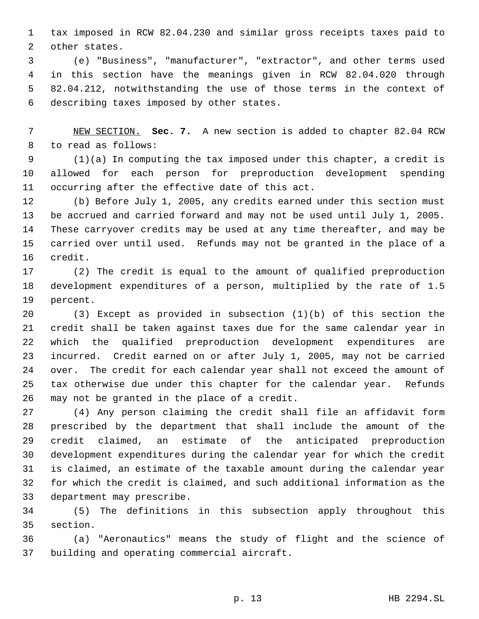tax imposed in RCW 82.04.230 and similar gross receipts taxes paid to other states.

 (e) "Business", "manufacturer", "extractor", and other terms used in this section have the meanings given in RCW 82.04.020 through 82.04.212, notwithstanding the use of those terms in the context of describing taxes imposed by other states.

 NEW SECTION. **Sec. 7.** A new section is added to chapter 82.04 RCW to read as follows:

 (1)(a) In computing the tax imposed under this chapter, a credit is allowed for each person for preproduction development spending occurring after the effective date of this act.

 (b) Before July 1, 2005, any credits earned under this section must be accrued and carried forward and may not be used until July 1, 2005. These carryover credits may be used at any time thereafter, and may be carried over until used. Refunds may not be granted in the place of a credit.

 (2) The credit is equal to the amount of qualified preproduction development expenditures of a person, multiplied by the rate of 1.5 percent.

 (3) Except as provided in subsection (1)(b) of this section the credit shall be taken against taxes due for the same calendar year in which the qualified preproduction development expenditures are incurred. Credit earned on or after July 1, 2005, may not be carried over. The credit for each calendar year shall not exceed the amount of tax otherwise due under this chapter for the calendar year. Refunds may not be granted in the place of a credit.

 (4) Any person claiming the credit shall file an affidavit form prescribed by the department that shall include the amount of the credit claimed, an estimate of the anticipated preproduction development expenditures during the calendar year for which the credit is claimed, an estimate of the taxable amount during the calendar year for which the credit is claimed, and such additional information as the department may prescribe.

 (5) The definitions in this subsection apply throughout this section.

 (a) "Aeronautics" means the study of flight and the science of building and operating commercial aircraft.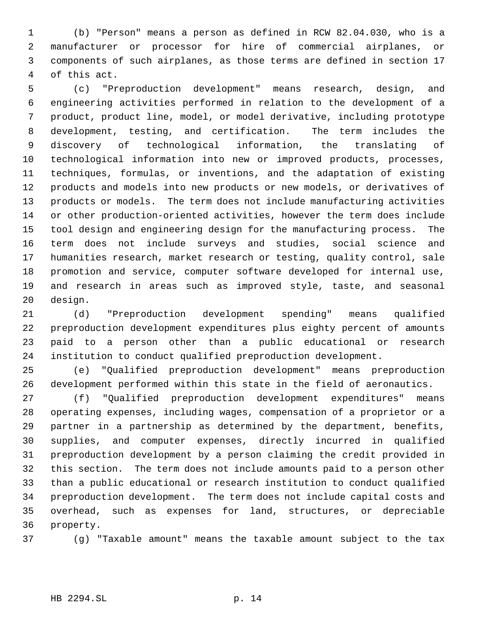(b) "Person" means a person as defined in RCW 82.04.030, who is a manufacturer or processor for hire of commercial airplanes, or components of such airplanes, as those terms are defined in section 17 of this act.

 (c) "Preproduction development" means research, design, and engineering activities performed in relation to the development of a product, product line, model, or model derivative, including prototype development, testing, and certification. The term includes the discovery of technological information, the translating of technological information into new or improved products, processes, techniques, formulas, or inventions, and the adaptation of existing products and models into new products or new models, or derivatives of products or models. The term does not include manufacturing activities or other production-oriented activities, however the term does include tool design and engineering design for the manufacturing process. The term does not include surveys and studies, social science and humanities research, market research or testing, quality control, sale promotion and service, computer software developed for internal use, and research in areas such as improved style, taste, and seasonal design.

 (d) "Preproduction development spending" means qualified preproduction development expenditures plus eighty percent of amounts paid to a person other than a public educational or research institution to conduct qualified preproduction development.

 (e) "Qualified preproduction development" means preproduction development performed within this state in the field of aeronautics.

 (f) "Qualified preproduction development expenditures" means operating expenses, including wages, compensation of a proprietor or a partner in a partnership as determined by the department, benefits, supplies, and computer expenses, directly incurred in qualified preproduction development by a person claiming the credit provided in this section. The term does not include amounts paid to a person other than a public educational or research institution to conduct qualified preproduction development. The term does not include capital costs and overhead, such as expenses for land, structures, or depreciable property.

(g) "Taxable amount" means the taxable amount subject to the tax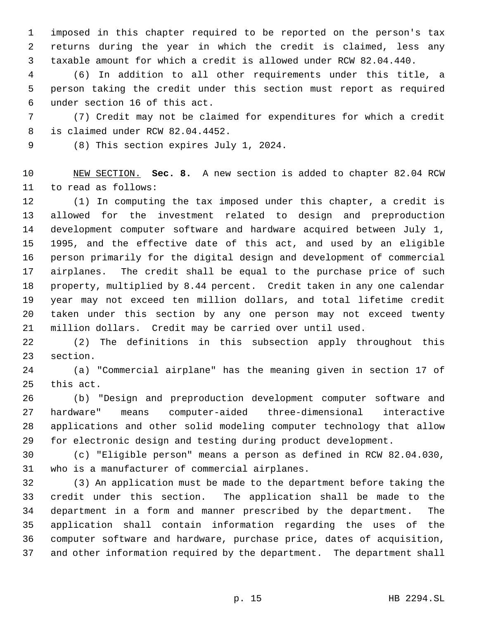imposed in this chapter required to be reported on the person's tax returns during the year in which the credit is claimed, less any taxable amount for which a credit is allowed under RCW 82.04.440.

 (6) In addition to all other requirements under this title, a person taking the credit under this section must report as required under section 16 of this act.

 (7) Credit may not be claimed for expenditures for which a credit is claimed under RCW 82.04.4452.

(8) This section expires July 1, 2024.

 NEW SECTION. **Sec. 8.** A new section is added to chapter 82.04 RCW to read as follows:

 (1) In computing the tax imposed under this chapter, a credit is allowed for the investment related to design and preproduction development computer software and hardware acquired between July 1, 1995, and the effective date of this act, and used by an eligible person primarily for the digital design and development of commercial airplanes. The credit shall be equal to the purchase price of such property, multiplied by 8.44 percent. Credit taken in any one calendar year may not exceed ten million dollars, and total lifetime credit taken under this section by any one person may not exceed twenty million dollars. Credit may be carried over until used.

 (2) The definitions in this subsection apply throughout this section.

 (a) "Commercial airplane" has the meaning given in section 17 of this act.

 (b) "Design and preproduction development computer software and hardware" means computer-aided three-dimensional interactive applications and other solid modeling computer technology that allow for electronic design and testing during product development.

 (c) "Eligible person" means a person as defined in RCW 82.04.030, who is a manufacturer of commercial airplanes.

 (3) An application must be made to the department before taking the credit under this section. The application shall be made to the department in a form and manner prescribed by the department. The application shall contain information regarding the uses of the computer software and hardware, purchase price, dates of acquisition, and other information required by the department. The department shall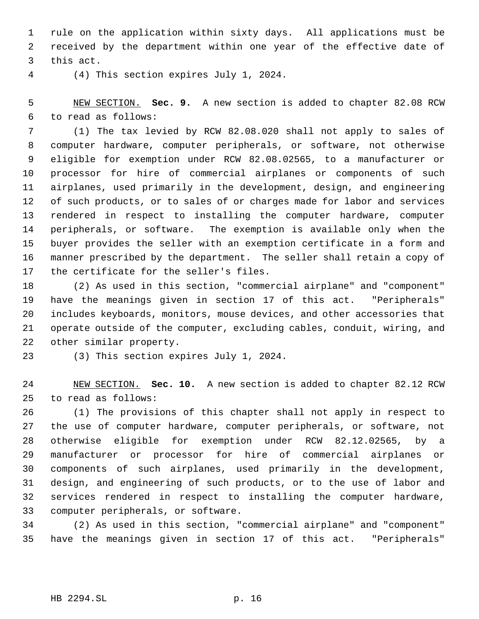rule on the application within sixty days. All applications must be received by the department within one year of the effective date of this act.

(4) This section expires July 1, 2024.

 NEW SECTION. **Sec. 9.** A new section is added to chapter 82.08 RCW to read as follows:

 (1) The tax levied by RCW 82.08.020 shall not apply to sales of computer hardware, computer peripherals, or software, not otherwise eligible for exemption under RCW 82.08.02565, to a manufacturer or processor for hire of commercial airplanes or components of such airplanes, used primarily in the development, design, and engineering of such products, or to sales of or charges made for labor and services rendered in respect to installing the computer hardware, computer peripherals, or software. The exemption is available only when the buyer provides the seller with an exemption certificate in a form and manner prescribed by the department. The seller shall retain a copy of the certificate for the seller's files.

 (2) As used in this section, "commercial airplane" and "component" have the meanings given in section 17 of this act. "Peripherals" includes keyboards, monitors, mouse devices, and other accessories that operate outside of the computer, excluding cables, conduit, wiring, and other similar property.

(3) This section expires July 1, 2024.

 NEW SECTION. **Sec. 10.** A new section is added to chapter 82.12 RCW to read as follows:

 (1) The provisions of this chapter shall not apply in respect to the use of computer hardware, computer peripherals, or software, not otherwise eligible for exemption under RCW 82.12.02565, by a manufacturer or processor for hire of commercial airplanes or components of such airplanes, used primarily in the development, design, and engineering of such products, or to the use of labor and services rendered in respect to installing the computer hardware, computer peripherals, or software.

 (2) As used in this section, "commercial airplane" and "component" have the meanings given in section 17 of this act. "Peripherals"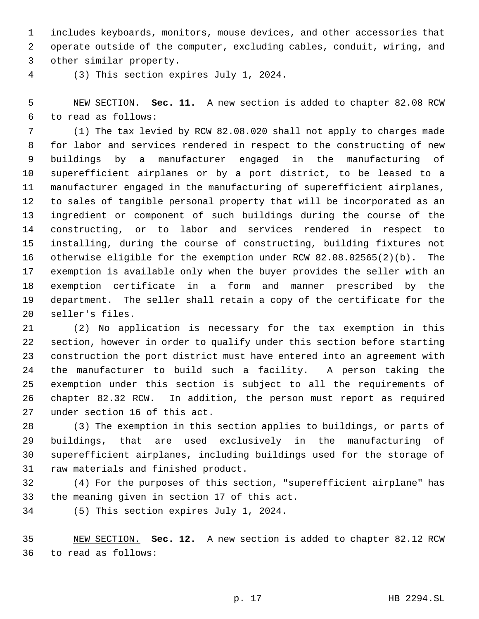includes keyboards, monitors, mouse devices, and other accessories that operate outside of the computer, excluding cables, conduit, wiring, and other similar property.

(3) This section expires July 1, 2024.

 NEW SECTION. **Sec. 11.** A new section is added to chapter 82.08 RCW to read as follows:

 (1) The tax levied by RCW 82.08.020 shall not apply to charges made for labor and services rendered in respect to the constructing of new buildings by a manufacturer engaged in the manufacturing of superefficient airplanes or by a port district, to be leased to a manufacturer engaged in the manufacturing of superefficient airplanes, to sales of tangible personal property that will be incorporated as an ingredient or component of such buildings during the course of the constructing, or to labor and services rendered in respect to installing, during the course of constructing, building fixtures not otherwise eligible for the exemption under RCW 82.08.02565(2)(b). The exemption is available only when the buyer provides the seller with an exemption certificate in a form and manner prescribed by the department. The seller shall retain a copy of the certificate for the seller's files.

 (2) No application is necessary for the tax exemption in this section, however in order to qualify under this section before starting construction the port district must have entered into an agreement with the manufacturer to build such a facility. A person taking the exemption under this section is subject to all the requirements of chapter 82.32 RCW. In addition, the person must report as required under section 16 of this act.

 (3) The exemption in this section applies to buildings, or parts of buildings, that are used exclusively in the manufacturing of superefficient airplanes, including buildings used for the storage of raw materials and finished product.

 (4) For the purposes of this section, "superefficient airplane" has the meaning given in section 17 of this act.

(5) This section expires July 1, 2024.

 NEW SECTION. **Sec. 12.** A new section is added to chapter 82.12 RCW to read as follows: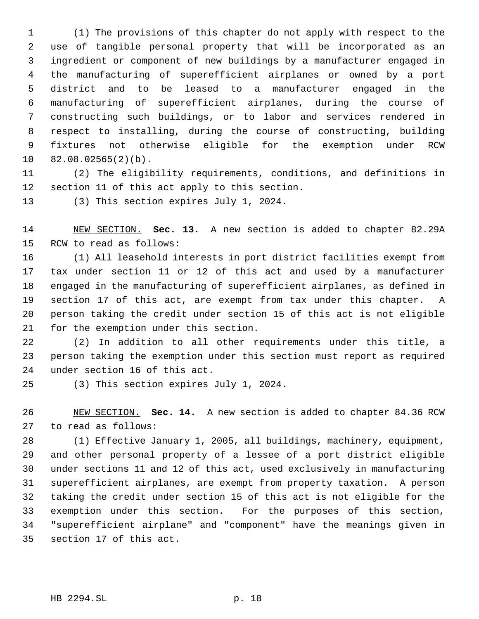(1) The provisions of this chapter do not apply with respect to the use of tangible personal property that will be incorporated as an ingredient or component of new buildings by a manufacturer engaged in the manufacturing of superefficient airplanes or owned by a port district and to be leased to a manufacturer engaged in the manufacturing of superefficient airplanes, during the course of constructing such buildings, or to labor and services rendered in respect to installing, during the course of constructing, building fixtures not otherwise eligible for the exemption under RCW 82.08.02565(2)(b).

 (2) The eligibility requirements, conditions, and definitions in section 11 of this act apply to this section.

(3) This section expires July 1, 2024.

 NEW SECTION. **Sec. 13.** A new section is added to chapter 82.29A RCW to read as follows:

 (1) All leasehold interests in port district facilities exempt from tax under section 11 or 12 of this act and used by a manufacturer engaged in the manufacturing of superefficient airplanes, as defined in section 17 of this act, are exempt from tax under this chapter. A person taking the credit under section 15 of this act is not eligible for the exemption under this section.

 (2) In addition to all other requirements under this title, a person taking the exemption under this section must report as required under section 16 of this act.

(3) This section expires July 1, 2024.

 NEW SECTION. **Sec. 14.** A new section is added to chapter 84.36 RCW to read as follows:

 (1) Effective January 1, 2005, all buildings, machinery, equipment, and other personal property of a lessee of a port district eligible under sections 11 and 12 of this act, used exclusively in manufacturing superefficient airplanes, are exempt from property taxation. A person taking the credit under section 15 of this act is not eligible for the exemption under this section. For the purposes of this section, "superefficient airplane" and "component" have the meanings given in section 17 of this act.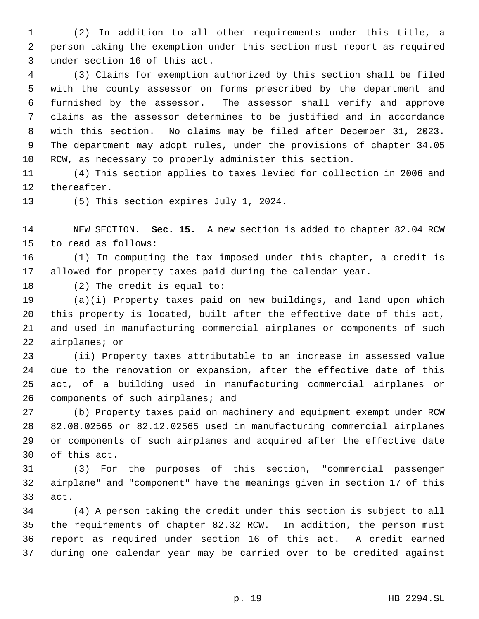(2) In addition to all other requirements under this title, a person taking the exemption under this section must report as required under section 16 of this act.

 (3) Claims for exemption authorized by this section shall be filed with the county assessor on forms prescribed by the department and furnished by the assessor. The assessor shall verify and approve claims as the assessor determines to be justified and in accordance with this section. No claims may be filed after December 31, 2023. The department may adopt rules, under the provisions of chapter 34.05 RCW, as necessary to properly administer this section.

 (4) This section applies to taxes levied for collection in 2006 and thereafter.

(5) This section expires July 1, 2024.

 NEW SECTION. **Sec. 15.** A new section is added to chapter 82.04 RCW to read as follows:

 (1) In computing the tax imposed under this chapter, a credit is allowed for property taxes paid during the calendar year.

(2) The credit is equal to:

 (a)(i) Property taxes paid on new buildings, and land upon which this property is located, built after the effective date of this act, and used in manufacturing commercial airplanes or components of such airplanes; or

 (ii) Property taxes attributable to an increase in assessed value due to the renovation or expansion, after the effective date of this act, of a building used in manufacturing commercial airplanes or 26 components of such airplanes; and

 (b) Property taxes paid on machinery and equipment exempt under RCW 82.08.02565 or 82.12.02565 used in manufacturing commercial airplanes or components of such airplanes and acquired after the effective date of this act.

 (3) For the purposes of this section, "commercial passenger airplane" and "component" have the meanings given in section 17 of this act.

 (4) A person taking the credit under this section is subject to all the requirements of chapter 82.32 RCW. In addition, the person must report as required under section 16 of this act. A credit earned during one calendar year may be carried over to be credited against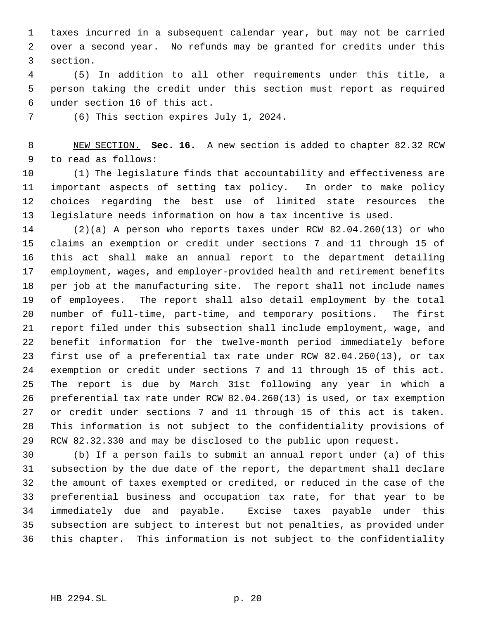taxes incurred in a subsequent calendar year, but may not be carried over a second year. No refunds may be granted for credits under this section.

 (5) In addition to all other requirements under this title, a person taking the credit under this section must report as required under section 16 of this act.

(6) This section expires July 1, 2024.

 NEW SECTION. **Sec. 16.** A new section is added to chapter 82.32 RCW to read as follows:

 (1) The legislature finds that accountability and effectiveness are important aspects of setting tax policy. In order to make policy choices regarding the best use of limited state resources the legislature needs information on how a tax incentive is used.

 (2)(a) A person who reports taxes under RCW 82.04.260(13) or who claims an exemption or credit under sections 7 and 11 through 15 of this act shall make an annual report to the department detailing employment, wages, and employer-provided health and retirement benefits per job at the manufacturing site. The report shall not include names of employees. The report shall also detail employment by the total number of full-time, part-time, and temporary positions. The first report filed under this subsection shall include employment, wage, and benefit information for the twelve-month period immediately before first use of a preferential tax rate under RCW 82.04.260(13), or tax exemption or credit under sections 7 and 11 through 15 of this act. The report is due by March 31st following any year in which a preferential tax rate under RCW 82.04.260(13) is used, or tax exemption or credit under sections 7 and 11 through 15 of this act is taken. This information is not subject to the confidentiality provisions of RCW 82.32.330 and may be disclosed to the public upon request.

 (b) If a person fails to submit an annual report under (a) of this subsection by the due date of the report, the department shall declare the amount of taxes exempted or credited, or reduced in the case of the preferential business and occupation tax rate, for that year to be immediately due and payable. Excise taxes payable under this subsection are subject to interest but not penalties, as provided under this chapter. This information is not subject to the confidentiality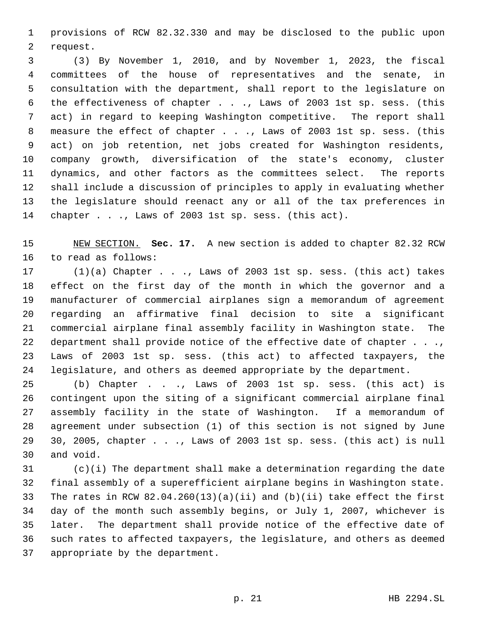provisions of RCW 82.32.330 and may be disclosed to the public upon request.

 (3) By November 1, 2010, and by November 1, 2023, the fiscal committees of the house of representatives and the senate, in consultation with the department, shall report to the legislature on the effectiveness of chapter . . ., Laws of 2003 1st sp. sess. (this act) in regard to keeping Washington competitive. The report shall measure the effect of chapter . . ., Laws of 2003 1st sp. sess. (this act) on job retention, net jobs created for Washington residents, company growth, diversification of the state's economy, cluster dynamics, and other factors as the committees select. The reports shall include a discussion of principles to apply in evaluating whether the legislature should reenact any or all of the tax preferences in 14 chapter . . ., Laws of 2003 1st sp. sess. (this act).

 NEW SECTION. **Sec. 17.** A new section is added to chapter 82.32 RCW to read as follows:

 (1)(a) Chapter . . ., Laws of 2003 1st sp. sess. (this act) takes effect on the first day of the month in which the governor and a manufacturer of commercial airplanes sign a memorandum of agreement regarding an affirmative final decision to site a significant commercial airplane final assembly facility in Washington state. The 22 department shall provide notice of the effective date of chapter . . ., Laws of 2003 1st sp. sess. (this act) to affected taxpayers, the legislature, and others as deemed appropriate by the department.

 (b) Chapter . . ., Laws of 2003 1st sp. sess. (this act) is contingent upon the siting of a significant commercial airplane final assembly facility in the state of Washington. If a memorandum of agreement under subsection (1) of this section is not signed by June 30, 2005, chapter . . ., Laws of 2003 1st sp. sess. (this act) is null and void.

 (c)(i) The department shall make a determination regarding the date final assembly of a superefficient airplane begins in Washington state. The rates in RCW 82.04.260(13)(a)(ii) and (b)(ii) take effect the first day of the month such assembly begins, or July 1, 2007, whichever is later. The department shall provide notice of the effective date of such rates to affected taxpayers, the legislature, and others as deemed appropriate by the department.